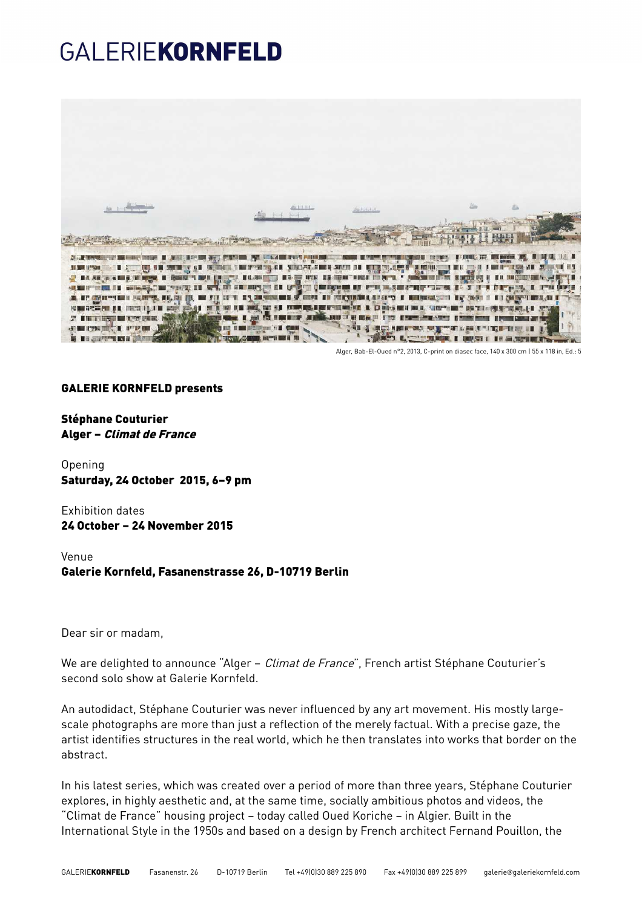## GALERIEKORNFELD



Alger, Bab-El-Oued n°2, 2013, C-print on diasec face, 140 x 300 cm | 55 x 118 in, Ed.: 5

### GALERIE KORNFELD presents

Stéphane Couturier Alger – Climat de France

Opening Saturday, 24 October 2015, 6–9 pm

Exhibition dates 24 October – 24 November 2015

Venue Galerie Kornfeld, Fasanenstrasse 26, D-10719 Berlin

Dear sir or madam,

We are delighted to announce "Alger - *Climat de France*", French artist Stéphane Couturier's second solo show at Galerie Kornfeld.

An autodidact, Stéphane Couturier was never influenced by any art movement. His mostly largescale photographs are more than just a reflection of the merely factual. With a precise gaze, the artist identifies structures in the real world, which he then translates into works that border on the abstract.

In his latest series, which was created over a period of more than three years, Stéphane Couturier explores, in highly aesthetic and, at the same time, socially ambitious photos and videos, the "Climat de France" housing project – today called Oued Koriche – in Algier. Built in the International Style in the 1950s and based on a design by French architect Fernand Pouillon, the